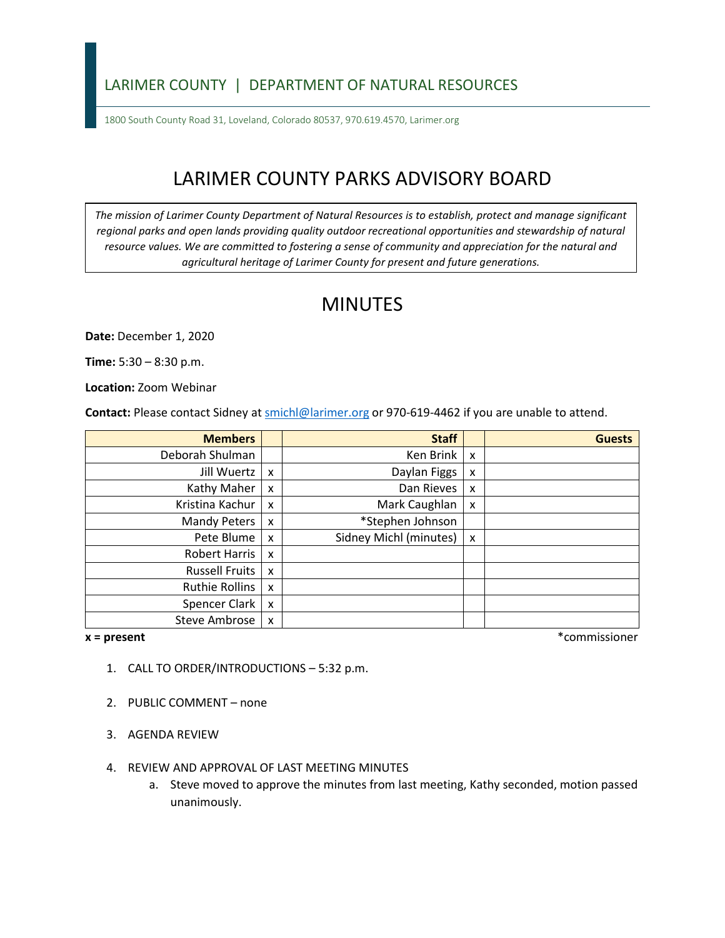### LARIMER COUNTY | DEPARTMENT OF NATURAL RESOURCES

1800 South County Road 31, Loveland, Colorado 80537, 970.619.4570, Larimer.org

# LARIMER COUNTY PARKS ADVISORY BOARD

*The mission of Larimer County Department of Natural Resources is to establish, protect and manage significant*  regional parks and open lands providing quality outdoor recreational opportunities and stewardship of natural *resource values. We are committed to fostering a sense of community and appreciation for the natural and agricultural heritage of Larimer County for present and future generations.*

## MINUTES

**Date:** December 1, 2020

**Time:** 5:30 – 8:30 p.m.

**Location:** Zoom Webinar

**Contact:** Please contact Sidney a[t smichl@larimer.org](mailto:smichl@larimer.org) or 970-619-4462 if you are unable to attend.

| <b>Members</b>        |                           | <b>Staff</b>           |   | <b>Guests</b> |
|-----------------------|---------------------------|------------------------|---|---------------|
| Deborah Shulman       |                           | Ken Brink              | x |               |
| Jill Wuertz           | $\mathsf{x}$              | Daylan Figgs           | X |               |
| Kathy Maher           | $\boldsymbol{\mathsf{x}}$ | Dan Rieves             | x |               |
| Kristina Kachur       | $\boldsymbol{\mathsf{x}}$ | Mark Caughlan          | x |               |
| <b>Mandy Peters</b>   | $\boldsymbol{\mathsf{x}}$ | *Stephen Johnson       |   |               |
| Pete Blume            | $\boldsymbol{\mathsf{x}}$ | Sidney Michl (minutes) | x |               |
| Robert Harris         | X                         |                        |   |               |
| <b>Russell Fruits</b> | $\boldsymbol{\mathsf{x}}$ |                        |   |               |
| Ruthie Rollins        | $\boldsymbol{\mathsf{x}}$ |                        |   |               |
| Spencer Clark         | $\boldsymbol{\mathsf{x}}$ |                        |   |               |
| <b>Steve Ambrose</b>  | $\boldsymbol{\mathsf{x}}$ |                        |   |               |

**x = present** \*commissioner

- 1. CALL TO ORDER/INTRODUCTIONS 5:32 p.m.
- 2. PUBLIC COMMENT none
- 3. AGENDA REVIEW
- 4. REVIEW AND APPROVAL OF LAST MEETING MINUTES
	- a. Steve moved to approve the minutes from last meeting, Kathy seconded, motion passed unanimously.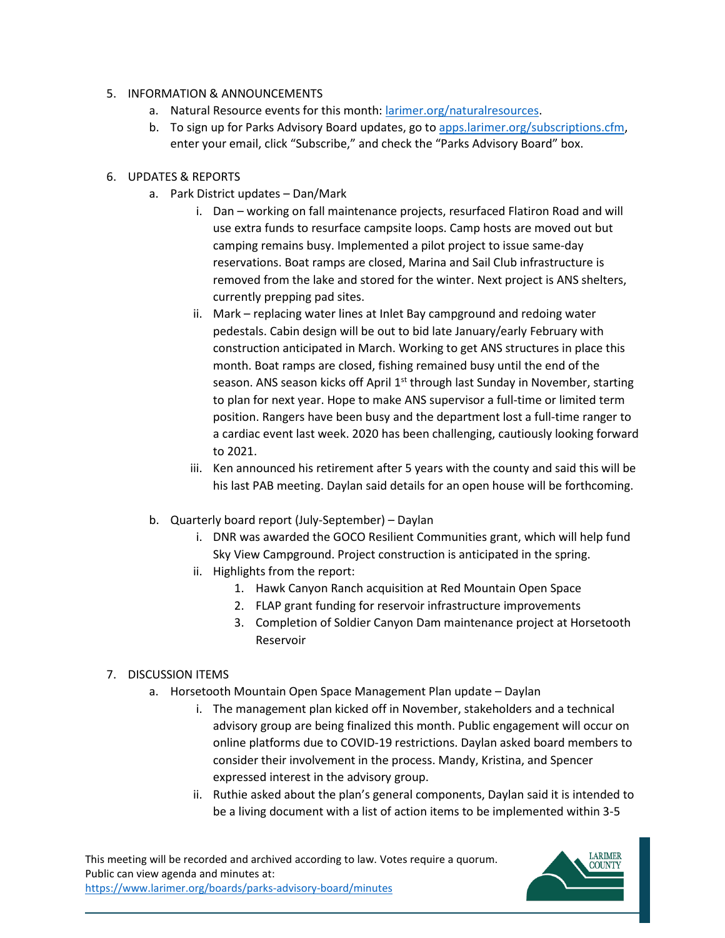#### 5. INFORMATION & ANNOUNCEMENTS

- a. Natural Resource events for this month: [larimer.org/naturalresources.](https://www.larimer.org/naturalresources)
- b. To sign up for Parks Advisory Board updates, go to [apps.larimer.org/subscriptions.cfm,](https://apps.larimer.org/subscriptions.cfm) enter your email, click "Subscribe," and check the "Parks Advisory Board" box.

#### 6. UPDATES & REPORTS

- a. Park District updates Dan/Mark
	- i. Dan working on fall maintenance projects, resurfaced Flatiron Road and will use extra funds to resurface campsite loops. Camp hosts are moved out but camping remains busy. Implemented a pilot project to issue same-day reservations. Boat ramps are closed, Marina and Sail Club infrastructure is removed from the lake and stored for the winter. Next project is ANS shelters, currently prepping pad sites.
	- ii. Mark replacing water lines at Inlet Bay campground and redoing water pedestals. Cabin design will be out to bid late January/early February with construction anticipated in March. Working to get ANS structures in place this month. Boat ramps are closed, fishing remained busy until the end of the season. ANS season kicks off April 1<sup>st</sup> through last Sunday in November, starting to plan for next year. Hope to make ANS supervisor a full-time or limited term position. Rangers have been busy and the department lost a full-time ranger to a cardiac event last week. 2020 has been challenging, cautiously looking forward to 2021.
	- iii. Ken announced his retirement after 5 years with the county and said this will be his last PAB meeting. Daylan said details for an open house will be forthcoming.
- b. Quarterly board report (July-September) Daylan
	- i. DNR was awarded the GOCO Resilient Communities grant, which will help fund Sky View Campground. Project construction is anticipated in the spring.
	- ii. Highlights from the report:
		- 1. Hawk Canyon Ranch acquisition at Red Mountain Open Space
		- 2. FLAP grant funding for reservoir infrastructure improvements
		- 3. Completion of Soldier Canyon Dam maintenance project at Horsetooth Reservoir

#### 7. DISCUSSION ITEMS

- a. Horsetooth Mountain Open Space Management Plan update Daylan
	- i. The management plan kicked off in November, stakeholders and a technical advisory group are being finalized this month. Public engagement will occur on online platforms due to COVID-19 restrictions. Daylan asked board members to consider their involvement in the process. Mandy, Kristina, and Spencer expressed interest in the advisory group.
	- ii. Ruthie asked about the plan's general components, Daylan said it is intended to be a living document with a list of action items to be implemented within 3-5